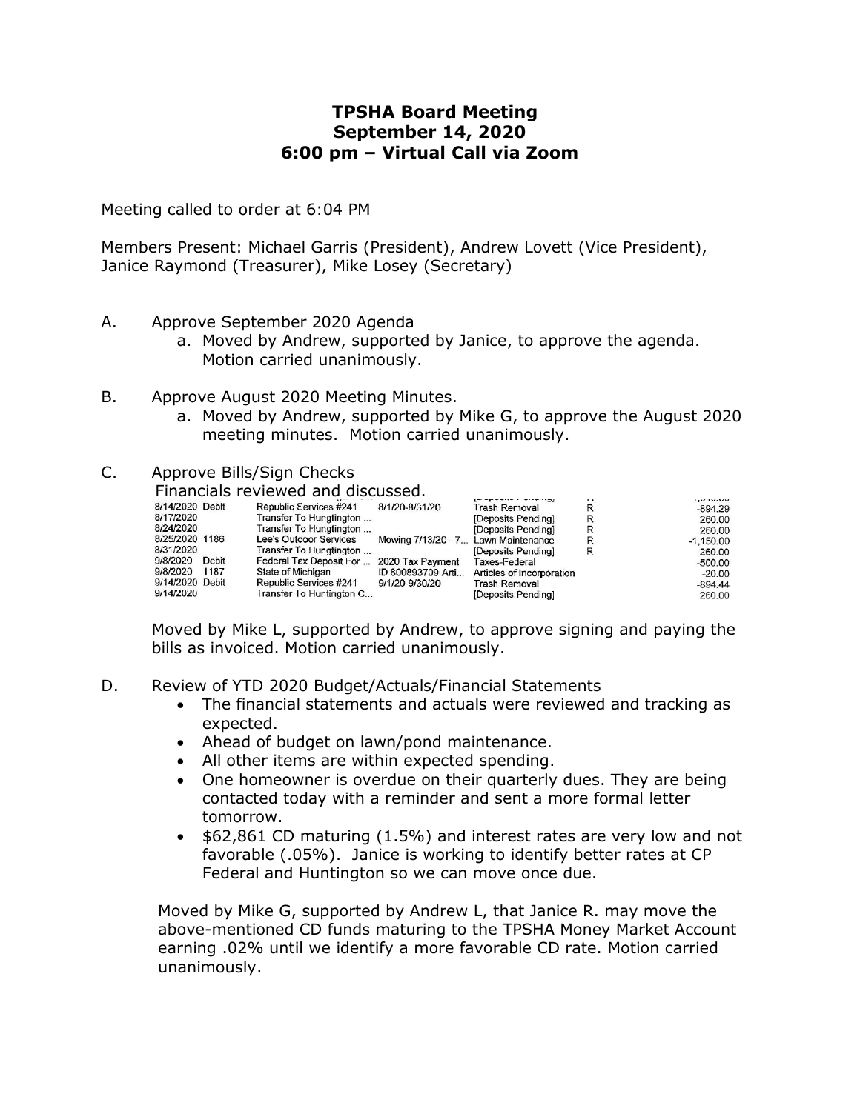# **TPSHA Board Meeting September 14, 2020 6:00 pm – Virtual Call via Zoom**

Meeting called to order at 6:04 PM

Members Present: Michael Garris (President), Andrew Lovett (Vice President), Janice Raymond (Treasurer), Mike Losey (Secretary)

- A. Approve September 2020 Agenda
	- a. Moved by Andrew, supported by Janice, to approve the agenda. Motion carried unanimously.
- B. Approve August 2020 Meeting Minutes.
	- a. Moved by Andrew, supported by Mike G, to approve the August 2020 meeting minutes. Motion carried unanimously.

# C. Approve Bills/Sign Checks

Financials reviewed and discussed.

| 8/14/2020 Debit         |       | Republic Services #241   | 8/1/20-8/31/20                      | <b>Trash Removal</b>      | . .<br>R | <b>HOLDEN</b><br>$-894.29$ |
|-------------------------|-------|--------------------------|-------------------------------------|---------------------------|----------|----------------------------|
| 8/17/2020               |       | Transfer To Hungtington  |                                     | [Deposits Pending]        | R        | 260.00                     |
| 8/24/2020               |       | Transfer To Hungtington  |                                     | [Deposits Pending]        | R        | 260,00                     |
| 8/25/2020 1186          |       | Lee's Outdoor Services   | Mowing 7/13/20 - 7 Lawn Maintenance |                           | R        | $-1,150.00$                |
| 8/31/2020               |       | Transfer To Hungtington  |                                     | [Deposits Pending]        | R        | 260.00                     |
| 9/8/2020                | Debit | Federal Tax Deposit For  | 2020 Tax Payment                    | <b>Taxes-Federal</b>      |          | $-500.00$                  |
| 9/8/2020                | 1187  | State of Michigan        | ID 800893709 Arti                   | Articles of Incorporation |          | $-20.00$                   |
| 9/ <b>14/2020</b> Debit |       | Republic Services #241   | 9/1/20-9/30/20                      | <b>Trash Removal</b>      |          | $-894.44$                  |
| 9/14/2020               |       | Transfer To Huntington C |                                     | [Deposits Pending]        |          | 260.00                     |
|                         |       |                          |                                     |                           |          |                            |

Moved by Mike L, supported by Andrew, to approve signing and paying the bills as invoiced. Motion carried unanimously.

- D. Review of YTD 2020 Budget/Actuals/Financial Statements
	- The financial statements and actuals were reviewed and tracking as expected.
	- Ahead of budget on lawn/pond maintenance.
	- All other items are within expected spending.
	- One homeowner is overdue on their quarterly dues. They are being contacted today with a reminder and sent a more formal letter tomorrow.
	- \$62,861 CD maturing (1.5%) and interest rates are very low and not favorable (.05%). Janice is working to identify better rates at CP Federal and Huntington so we can move once due.

Moved by Mike G, supported by Andrew L, that Janice R. may move the above-mentioned CD funds maturing to the TPSHA Money Market Account earning .02% until we identify a more favorable CD rate. Motion carried unanimously.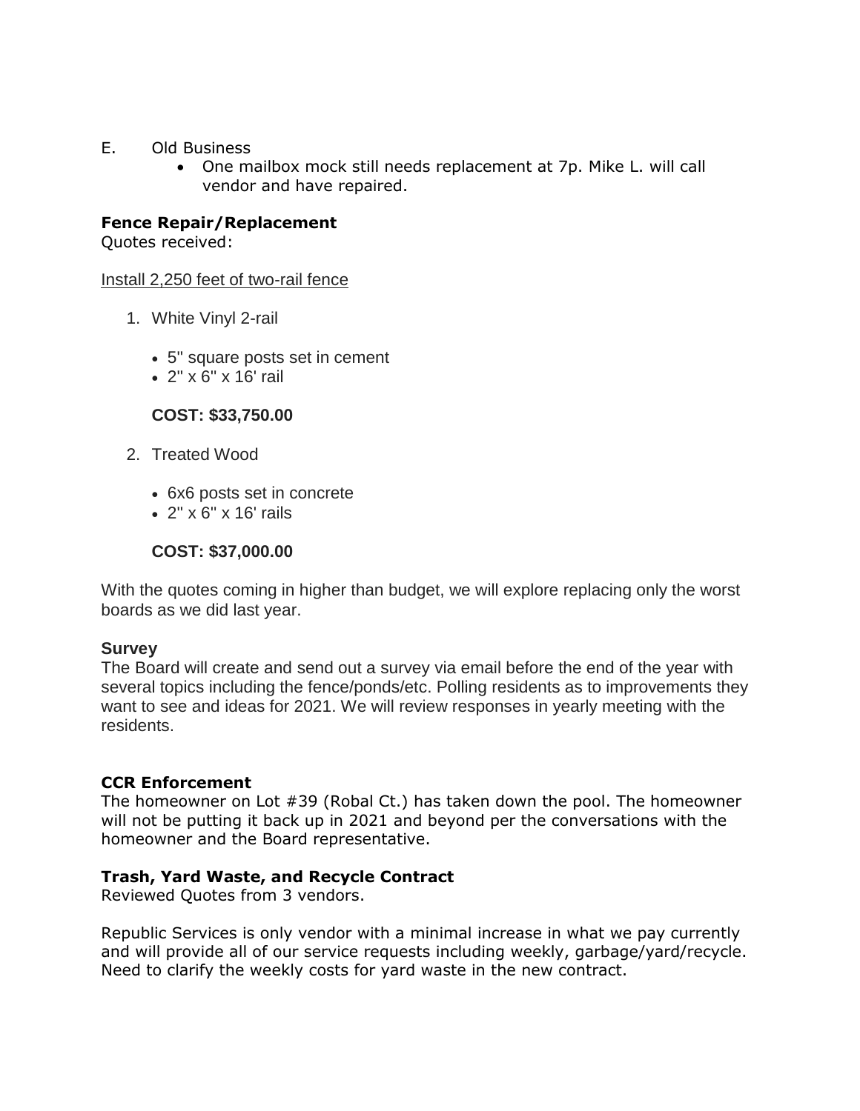- E. Old Business
	- One mailbox mock still needs replacement at 7p. Mike L. will call vendor and have repaired.

# **Fence Repair/Replacement**

Quotes received:

Install 2,250 feet of two-rail fence

- 1. White Vinyl 2-rail
	- 5'' square posts set in cement
	- 2'' x 6'' x 16' rail

# **COST: \$33,750.00**

- 2. Treated Wood
	- 6x6 posts set in concrete
	- 2'' x 6'' x 16' rails

# **COST: \$37,000.00**

With the quotes coming in higher than budget, we will explore replacing only the worst boards as we did last year.

## **Survey**

The Board will create and send out a survey via email before the end of the year with several topics including the fence/ponds/etc. Polling residents as to improvements they want to see and ideas for 2021. We will review responses in yearly meeting with the residents.

## **CCR Enforcement**

The homeowner on Lot #39 (Robal Ct.) has taken down the pool. The homeowner will not be putting it back up in 2021 and beyond per the conversations with the homeowner and the Board representative.

## **Trash, Yard Waste, and Recycle Contract**

Reviewed Quotes from 3 vendors.

Republic Services is only vendor with a minimal increase in what we pay currently and will provide all of our service requests including weekly, garbage/yard/recycle. Need to clarify the weekly costs for yard waste in the new contract.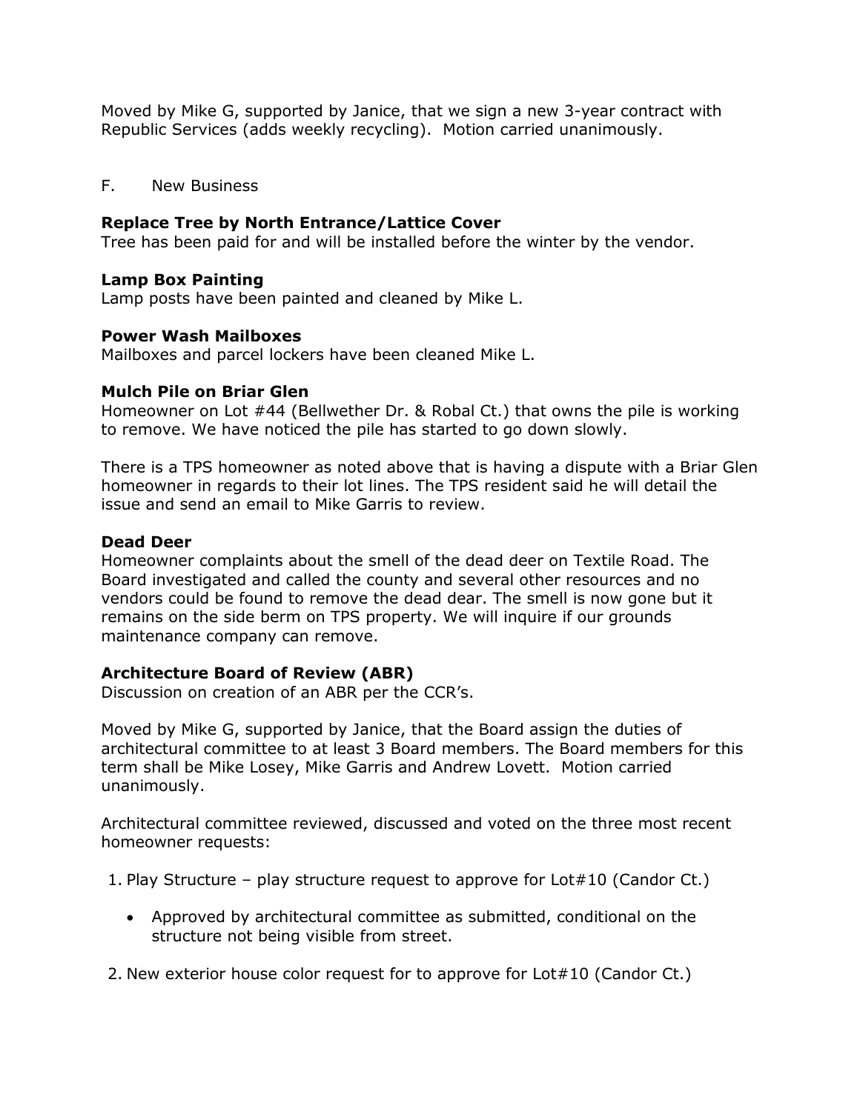Moved by Mike G, supported by Janice, that we sign a new 3-year contract with Republic Services (adds weekly recycling). Motion carried unanimously.

# F. New Business

### **Replace Tree by North Entrance/Lattice Cover**

Tree has been paid for and will be installed before the winter by the vendor.

#### **Lamp Box Painting**

Lamp posts have been painted and cleaned by Mike L.

#### **Power Wash Mailboxes**

Mailboxes and parcel lockers have been cleaned Mike L.

#### **Mulch Pile on Briar Glen**

Homeowner on Lot #44 (Bellwether Dr. & Robal Ct.) that owns the pile is working to remove. We have noticed the pile has started to go down slowly.

There is a TPS homeowner as noted above that is having a dispute with a Briar Glen homeowner in regards to their lot lines. The TPS resident said he will detail the issue and send an email to Mike Garris to review.

#### **Dead Deer**

Homeowner complaints about the smell of the dead deer on Textile Road. The Board investigated and called the county and several other resources and no vendors could be found to remove the dead dear. The smell is now gone but it remains on the side berm on TPS property. We will inquire if our grounds maintenance company can remove.

## **Architecture Board of Review (ABR)**

Discussion on creation of an ABR per the CCR's.

Moved by Mike G, supported by Janice, that the Board assign the duties of architectural committee to at least 3 Board members. The Board members for this term shall be Mike Losey, Mike Garris and Andrew Lovett. Motion carried unanimously.

Architectural committee reviewed, discussed and voted on the three most recent homeowner requests:

1. Play Structure – play structure request to approve for  $Lot#10$  (Candor Ct.)

 Approved by architectural committee as submitted, conditional on the structure not being visible from street.

2. New exterior house color request for to approve for Lot#10 (Candor Ct.)